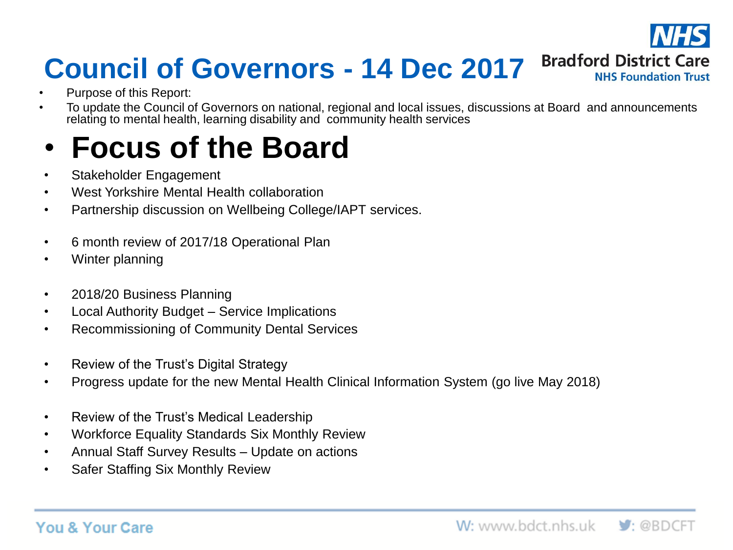

# **Council of Governors - 14 Dec 2017**

- Purpose of this Report:
- To update the Council of Governors on national, regional and local issues, discussions at Board and announcements relating to mental health, learning disability and community health services

# • **Focus of the Board**

- Stakeholder Engagement
- West Yorkshire Mental Health collaboration
- Partnership discussion on Wellbeing College/IAPT services.
- 6 month review of 2017/18 Operational Plan
- Winter planning
- 2018/20 Business Planning
- Local Authority Budget Service Implications
- Recommissioning of Community Dental Services
- Review of the Trust's Digital Strategy
- Progress update for the new Mental Health Clinical Information System (go live May 2018)
- Review of the Trust's Medical Leadership
- Workforce Equality Standards Six Monthly Review
- Annual Staff Survey Results Update on actions
- Safer Staffing Six Monthly Review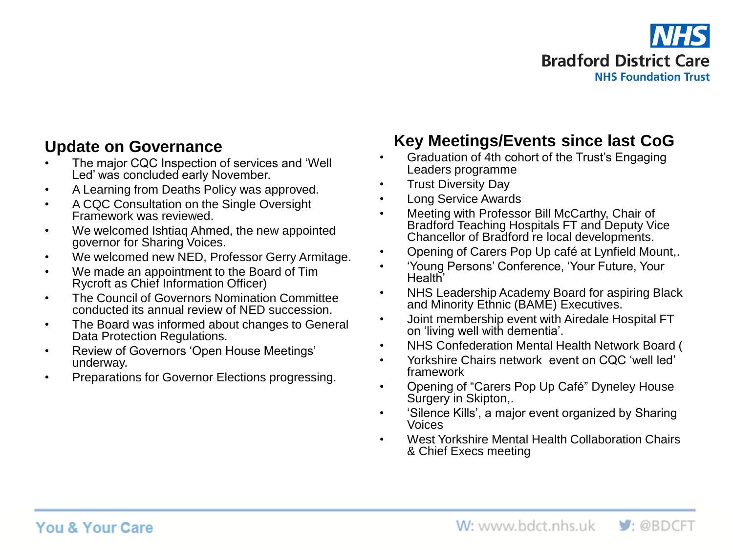

### **Update on Governance**

- The major CQC Inspection of services and 'Well Led' was concluded early November.
- A Learning from Deaths Policy was approved.
- A CQC Consultation on the Single Oversight Framework was reviewed.
- We welcomed Ishtiaq Ahmed, the new appointed governor for Sharing Voices.
- We welcomed new NED, Professor Gerry Armitage.
- We made an appointment to the Board of Tim Rycroft as Chief Information Officer)
- The Council of Governors Nomination Committee conducted its annual review of NED succession.
- The Board was informed about changes to General Data Protection Regulations.
- Review of Governors 'Open House Meetings' underway.
- Preparations for Governor Elections progressing.

### **Key Meetings/Events since last CoG**

- Graduation of 4th cohort of the Trust's Engaging Leaders programme
- Trust Diversity Day
- Long Service Awards
- Meeting with Professor Bill McCarthy, Chair of Bradford Teaching Hospitals FT and Deputy Vice Chancellor of Bradford re local developments.
- Opening of Carers Pop Up café at Lynfield Mount,.
- 'Young Persons' Conference, 'Your Future, Your Health'
- NHS Leadership Academy Board for aspiring Black and Minority Ethnic (BAME) Executives.
- Joint membership event with Airedale Hospital FT on 'living well with dementia'.
- NHS Confederation Mental Health Network Board (
- Yorkshire Chairs network event on CQC 'well led' framework
- Opening of "Carers Pop Up Café" Dyneley House Surgery in Skipton,.
- 'Silence Kills', a major event organized by Sharing Voices
- West Yorkshire Mental Health Collaboration Chairs & Chief Execs meeting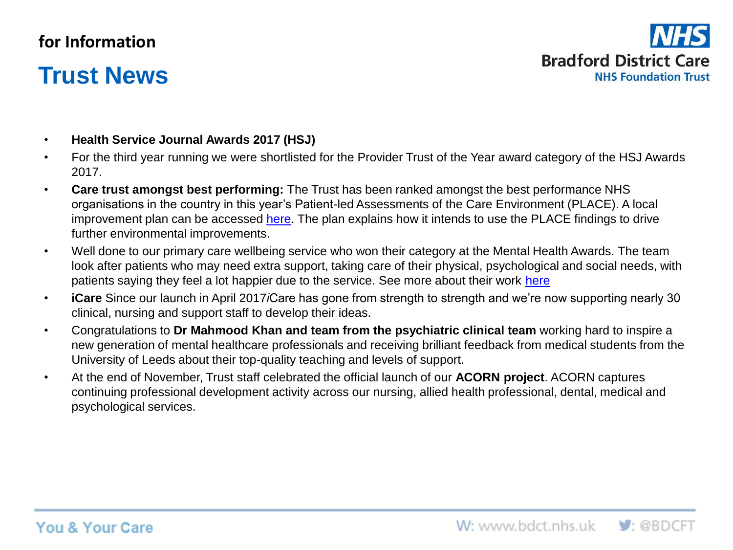### **for Information**

## **Trust News**



- **Health Service Journal Awards 2017 (HSJ)**
- For the third year running we were shortlisted for the Provider Trust of the Year award category of the HSJ Awards 2017.
- **Care trust amongst best performing:** The Trust has been ranked amongst the best performance NHS organisations in the country in this year's Patient-led Assessments of the Care Environment (PLACE). A local improvement plan can be accessed [here.](http://www.bdct.nhs.uk/about-us/key-information/place-results/) The plan explains how it intends to use the PLACE findings to drive further environmental improvements.
- Well done to our primary care wellbeing service who won their category at the Mental Health Awards. The team look after patients who may need extra support, taking care of their physical, psychological and social needs, with patients saying they feel a lot happier due to the service. See more about their work [here](https://www.youtube.com/watch?v=8jg2ixxQ6Lw)
- **iCare** Since our launch in April 2017*i*Care has gone from strength to strength and we're now supporting nearly 30 clinical, nursing and support staff to develop their ideas.
- Congratulations to **Dr Mahmood Khan and team from the psychiatric clinical team** working hard to inspire a new generation of mental healthcare professionals and receiving brilliant feedback from medical students from the University of Leeds about their top-quality teaching and levels of support.
- At the end of November, Trust staff celebrated the official launch of our **ACORN project**. ACORN captures continuing professional development activity across our nursing, allied health professional, dental, medical and psychological services.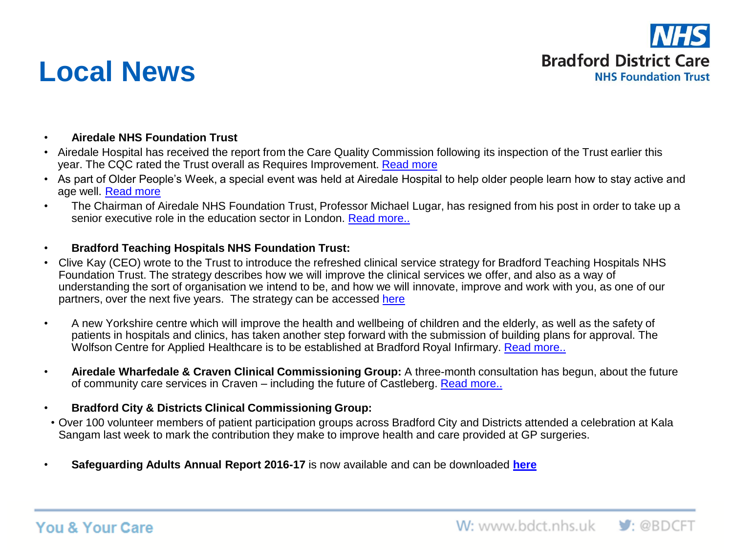

## **Local News**

- **Airedale NHS Foundation Trust**
- Airedale Hospital has received the report from the Care Quality Commission following its inspection of the Trust earlier this year. The CQC rated the Trust overall as Requires Improvement. [Read more](http://www.airedale-trust.nhs.uk/blog/care-quality-commission-inspection-report-for-airedale-nhs-foundation-trust-2/)
- As part of Older People's Week, a special event was held at Airedale Hospital to help older people learn how to stay active and age well. [Read more](http://www.airedale-trust.nhs.uk/blog/hospital-hosts-active-ageing-event/)
- The Chairman of Airedale NHS Foundation Trust, Professor Michael Lugar, has resigned from his post in order to take up a senior executive role in the education sector in London. [Read more..](http://www.airedale-trust.nhs.uk/blog/chairman-moves-on-to-pastures-new/)
- **Bradford Teaching Hospitals NHS Foundation Trust:**
- Clive Kay (CEO) wrote to the Trust to introduce the refreshed clinical service strategy for Bradford Teaching Hospitals NHS Foundation Trust. The strategy describes how we will improve the clinical services we offer, and also as a way of understanding the sort of organisation we intend to be, and how we will innovate, improve and work with you, as one of our partners, over the next five years. The strategy can be accessed [here](http://www.bradfordhospitals.nhs.uk/about/vision-and-values/clinical-strategy)
- A new Yorkshire centre which will improve the health and wellbeing of children and the elderly, as well as the safety of patients in hospitals and clinics, has taken another step forward with the submission of building plans for approval. The Wolfson Centre for Applied Healthcare is to be established at Bradford Royal Infirmary. [Read more..](https://www.bradfordhospitals.nhs.uk/new-3m-research-centre-moves-step-closer)
- **Airedale Wharfedale & Craven Clinical Commissioning Group:** A three-month consultation has begun, about the future of community care services in Craven – including the future of Castleberg. [Read more..](http://www.airedalewharfedalecravenccg.nhs.uk/community-care-services-for-people-living-in-craven-including-the-future-of-castleberg-hospital-2/)
- **Bradford City & Districts Clinical Commissioning Group:**
- Over 100 volunteer members of patient participation groups across Bradford City and Districts attended a celebration at Kala Sangam last week to mark the contribution they make to improve health and care provided at GP surgeries.
- **Safeguarding Adults Annual Report 2016-17** is now available and can be downloaded **[here](https://www.bradford.gov.uk/media/4226/sab-annual-report-2016-17.pdf)**